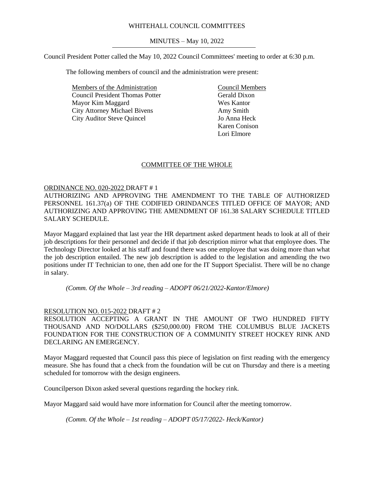## WHITEHALL COUNCIL COMMITTEES

MINUTES – May 10, 2022

Council President Potter called the May 10, 2022 Council Committees' meeting to order at 6:30 p.m.

The following members of council and the administration were present:

Members of the Administration Council President Thomas Potter Mayor Kim Maggard City Attorney Michael Bivens City Auditor Steve Quincel

Council Members Gerald Dixon Wes Kantor Amy Smith Jo Anna Heck Karen Conison Lori Elmore

## COMMITTEE OF THE WHOLE

## ORDINANCE NO. 020-2022 DRAFT # 1

AUTHORIZING AND APPROVING THE AMENDMENT TO THE TABLE OF AUTHORIZED PERSONNEL 161.37(a) OF THE CODIFIED ORINDANCES TITLED OFFICE OF MAYOR; AND AUTHORIZING AND APPROVING THE AMENDMENT OF 161.38 SALARY SCHEDULE TITLED SALARY SCHEDULE.

Mayor Maggard explained that last year the HR department asked department heads to look at all of their job descriptions for their personnel and decide if that job description mirror what that employee does. The Technology Director looked at his staff and found there was one employee that was doing more than what the job description entailed. The new job description is added to the legislation and amending the two positions under IT Technician to one, then add one for the IT Support Specialist. There will be no change in salary.

*(Comm. Of the Whole – 3rd reading – ADOPT 06/21/2022-Kantor/Elmore)*

#### RESOLUTION NO. 015-2022 DRAFT # 2

RESOLUTION ACCEPTING A GRANT IN THE AMOUNT OF TWO HUNDRED FIFTY THOUSAND AND NO/DOLLARS (\$250,000.00) FROM THE COLUMBUS BLUE JACKETS FOUNDATION FOR THE CONSTRUCTION OF A COMMUNITY STREET HOCKEY RINK AND DECLARING AN EMERGENCY.

Mayor Maggard requested that Council pass this piece of legislation on first reading with the emergency measure. She has found that a check from the foundation will be cut on Thursday and there is a meeting scheduled for tomorrow with the design engineers.

Councilperson Dixon asked several questions regarding the hockey rink.

Mayor Maggard said would have more information for Council after the meeting tomorrow.

*(Comm. Of the Whole – 1st reading – ADOPT 05/17/2022- Heck/Kantor)*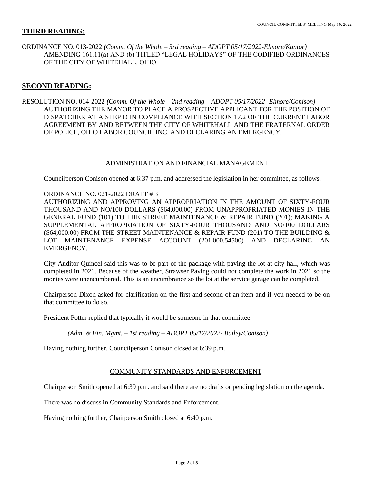## **THIRD READING:**

ORDINANCE NO. 013-2022 *(Comm. Of the Whole – 3rd reading – ADOPT 05/17/2022-Elmore/Kantor)* AMENDING 161.11(a) AND (b) TITLED "LEGAL HOLIDAYS" OF THE CODIFIED ORDINANCES OF THE CITY OF WHITEHALL, OHIO.

# **SECOND READING:**

RESOLUTION NO. 014-2022 *(Comm. Of the Whole – 2nd reading – ADOPT 05/17/2022- Elmore/Conison)* AUTHORIZING THE MAYOR TO PLACE A PROSPECTIVE APPLICANT FOR THE POSITION OF DISPATCHER AT A STEP D IN COMPLIANCE WITH SECTION 17.2 OF THE CURRENT LABOR AGREEMENT BY AND BETWEEN THE CITY OF WHITEHALL AND THE FRATERNAL ORDER OF POLICE, OHIO LABOR COUNCIL INC. AND DECLARING AN EMERGENCY.

#### ADMINISTRATION AND FINANCIAL MANAGEMENT

Councilperson Conison opened at 6:37 p.m. and addressed the legislation in her committee, as follows:

#### ORDINANCE NO. 021-2022 DRAFT # 3

AUTHORIZING AND APPROVING AN APPROPRIATION IN THE AMOUNT OF SIXTY-FOUR THOUSAND AND NO/100 DOLLARS (\$64,000.00) FROM UNAPPROPRIATED MONIES IN THE GENERAL FUND (101) TO THE STREET MAINTENANCE & REPAIR FUND (201); MAKING A SUPPLEMENTAL APPROPRIATION OF SIXTY-FOUR THOUSAND AND NO/100 DOLLARS (\$64,000.00) FROM THE STREET MAINTENANCE & REPAIR FUND (201) TO THE BUILDING & LOT MAINTENANCE EXPENSE ACCOUNT (201.000.54500) AND DECLARING AN EMERGENCY.

City Auditor Quincel said this was to be part of the package with paving the lot at city hall, which was completed in 2021. Because of the weather, Strawser Paving could not complete the work in 2021 so the monies were unencumbered. This is an encumbrance so the lot at the service garage can be completed.

Chairperson Dixon asked for clarification on the first and second of an item and if you needed to be on that committee to do so.

President Potter replied that typically it would be someone in that committee.

*(Adm. & Fin. Mgmt. – 1st reading – ADOPT 05/17/2022- Bailey/Conison)*

Having nothing further, Councilperson Conison closed at 6:39 p.m.

#### COMMUNITY STANDARDS AND ENFORCEMENT

Chairperson Smith opened at 6:39 p.m. and said there are no drafts or pending legislation on the agenda.

There was no discuss in Community Standards and Enforcement.

Having nothing further, Chairperson Smith closed at 6:40 p.m.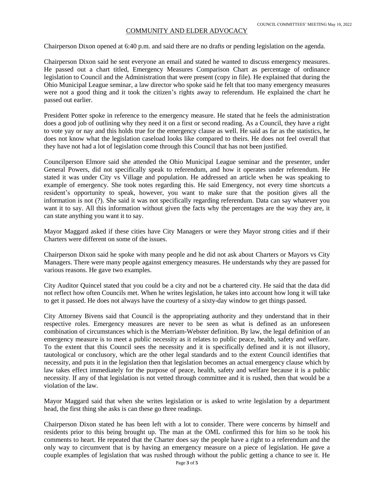## COMMUNITY AND ELDER ADVOCACY

Chairperson Dixon opened at 6:40 p.m. and said there are no drafts or pending legislation on the agenda.

Chairperson Dixon said he sent everyone an email and stated he wanted to discuss emergency measures. He passed out a chart titled, Emergency Measures Comparison Chart as percentage of ordinance legislation to Council and the Administration that were present (copy in file). He explained that during the Ohio Municipal League seminar, a law director who spoke said he felt that too many emergency measures were not a good thing and it took the citizen's rights away to referendum. He explained the chart he passed out earlier.

President Potter spoke in reference to the emergency measure. He stated that he feels the administration does a good job of outlining why they need it on a first or second reading. As a Council, they have a right to vote yay or nay and this holds true for the emergency clause as well. He said as far as the statistics, he does not know what the legislation caseload looks like compared to theirs. He does not feel overall that they have not had a lot of legislation come through this Council that has not been justified.

Councilperson Elmore said she attended the Ohio Municipal League seminar and the presenter, under General Powers, did not specifically speak to referendum, and how it operates under referendum. He stated it was under City vs Village and population. He addressed an article when he was speaking to example of emergency. She took notes regarding this. He said Emergency, not every time shortcuts a resident's opportunity to speak, however, you want to make sure that the position gives all the information is not (?). She said it was not specifically regarding referendum. Data can say whatever you want it to say. All this information without given the facts why the percentages are the way they are, it can state anything you want it to say.

Mayor Maggard asked if these cities have City Managers or were they Mayor strong cities and if their Charters were different on some of the issues.

Chairperson Dixon said he spoke with many people and he did not ask about Charters or Mayors vs City Managers. There were many people against emergency measures. He understands why they are passed for various reasons. He gave two examples.

City Auditor Quincel stated that you could be a city and not be a chartered city. He said that the data did not reflect how often Councils met. When he writes legislation, he takes into account how long it will take to get it passed. He does not always have the courtesy of a sixty-day window to get things passed.

City Attorney Bivens said that Council is the appropriating authority and they understand that in their respective roles. Emergency measures are never to be seen as what is defined as an unforeseen combination of circumstances which is the Merriam-Webster definition. By law, the legal definition of an emergency measure is to meet a public necessity as it relates to public peace, health, safety and welfare. To the extent that this Council sees the necessity and it is specifically defined and it is not illusory, tautological or conclusory, which are the other legal standards and to the extent Council identifies that necessity, and puts it in the legislation then that legislation becomes an actual emergency clause which by law takes effect immediately for the purpose of peace, health, safety and welfare because it is a public necessity. If any of that legislation is not vetted through committee and it is rushed, then that would be a violation of the law.

Mayor Maggard said that when she writes legislation or is asked to write legislation by a department head, the first thing she asks is can these go three readings.

Chairperson Dixon stated he has been left with a lot to consider. There were concerns by himself and residents prior to this being brought up. The man at the OML confirmed this for him so he took his comments to heart. He repeated that the Charter does say the people have a right to a referendum and the only way to circumvent that is by having an emergency measure on a piece of legislation. He gave a couple examples of legislation that was rushed through without the public getting a chance to see it. He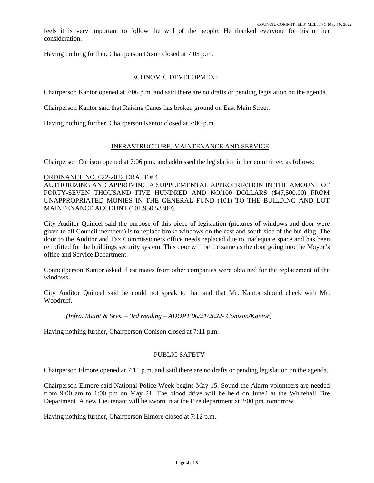feels it is very important to follow the will of the people. He thanked everyone for his or her consideration.

Having nothing further, Chairperson Dixon closed at 7:05 p.m.

### ECONOMIC DEVELOPMENT

Chairperson Kantor opened at 7:06 p.m. and said there are no drafts or pending legislation on the agenda.

Chairperson Kantor said that Raising Canes has broken ground on East Main Street.

Having nothing further, Chairperson Kantor closed at 7:06 p.m.

## INFRASTRUCTURE, MAINTENANCE AND SERVICE

Chairperson Conison opened at 7:06 p.m. and addressed the legislation in her committee, as follows:

#### ORDINANCE NO. 022-2022 DRAFT # 4

AUTHORIZING AND APPROVING A SUPPLEMENTAL APPROPRIATION IN THE AMOUNT OF FORTY-SEVEN THOUSAND FIVE HUNDRED AND NO/100 DOLLARS (\$47,500.00) FROM UNAPPROPRIATED MONIES IN THE GENERAL FUND (101) TO THE BUILDING AND LOT MAINTENANCE ACCOUNT (101.950.53300).

City Auditor Quincel said the purpose of this piece of legislation (pictures of windows and door were given to all Council members) is to replace broke windows on the east and south side of the building. The door to the Auditor and Tax Commissioners office needs replaced due to inadequate space and has been retrofitted for the buildings security system. This door will be the same as the door going into the Mayor's office and Service Department.

Councilperson Kantor asked if estimates from other companies were obtained for the replacement of the windows.

City Auditor Quincel said he could not speak to that and that Mr. Kantor should check with Mr. Woodruff.

*(Infra. Maint & Srvs. – 3rd reading – ADOPT 06/21/2022- Conison/Kantor)*

Having nothing further, Chairperson Conison closed at 7:11 p.m.

#### PUBLIC SAFETY

Chairperson Elmore opened at 7:11 p.m. and said there are no drafts or pending legislation on the agenda.

Chairperson Elmore said National Police Week begins May 15. Sound the Alarm volunteers are needed from 9:00 am to 1:00 pm on May 21. The blood drive will be held on June2 at the Whitehall Fire Department. A new Lieutenant will be sworn in at the Fire department at 2:00 pm. tomorrow.

Having nothing further, Chairperson Elmore closed at 7:12 p.m.